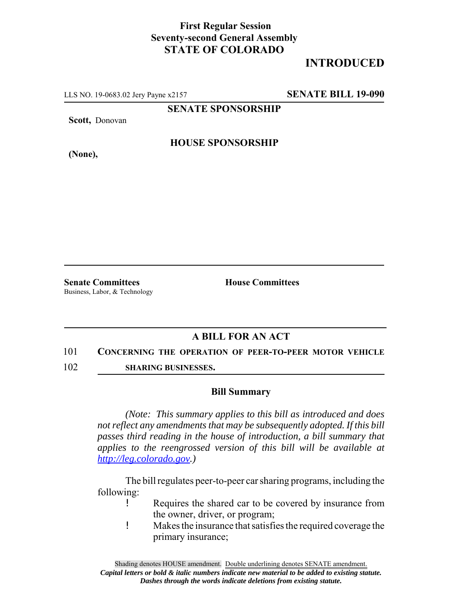## **First Regular Session Seventy-second General Assembly STATE OF COLORADO**

# **INTRODUCED**

LLS NO. 19-0683.02 Jery Payne x2157 **SENATE BILL 19-090**

**SENATE SPONSORSHIP**

**Scott,** Donovan

**HOUSE SPONSORSHIP**

**(None),**

**Senate Committees House Committees** Business, Labor, & Technology

### **A BILL FOR AN ACT**

### 101 **CONCERNING THE OPERATION OF PEER-TO-PEER MOTOR VEHICLE**

102 **SHARING BUSINESSES.**

### **Bill Summary**

*(Note: This summary applies to this bill as introduced and does not reflect any amendments that may be subsequently adopted. If this bill passes third reading in the house of introduction, a bill summary that applies to the reengrossed version of this bill will be available at http://leg.colorado.gov.)*

The bill regulates peer-to-peer car sharing programs, including the following:

- ! Requires the shared car to be covered by insurance from the owner, driver, or program;
- ! Makes the insurance that satisfies the required coverage the primary insurance;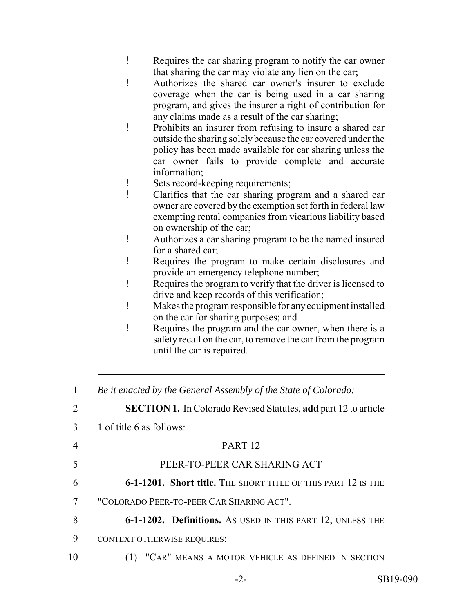- ! Requires the car sharing program to notify the car owner that sharing the car may violate any lien on the car;
- ! Authorizes the shared car owner's insurer to exclude coverage when the car is being used in a car sharing program, and gives the insurer a right of contribution for any claims made as a result of the car sharing;
- ! Prohibits an insurer from refusing to insure a shared car outside the sharing solely because the car covered under the policy has been made available for car sharing unless the car owner fails to provide complete and accurate information;
- ! Sets record-keeping requirements;
- ! Clarifies that the car sharing program and a shared car owner are covered by the exemption set forth in federal law exempting rental companies from vicarious liability based on ownership of the car;
- ! Authorizes a car sharing program to be the named insured for a shared car;
- ! Requires the program to make certain disclosures and provide an emergency telephone number;
- ! Requires the program to verify that the driver is licensed to drive and keep records of this verification;
- ! Makes the program responsible for any equipment installed on the car for sharing purposes; and
- ! Requires the program and the car owner, when there is a safety recall on the car, to remove the car from the program until the car is repaired.

| 1              | Be it enacted by the General Assembly of the State of Colorado:        |
|----------------|------------------------------------------------------------------------|
| $\overline{2}$ | <b>SECTION 1.</b> In Colorado Revised Statutes, add part 12 to article |
| 3              | 1 of title 6 as follows:                                               |
| 4              | PART <sub>12</sub>                                                     |
| 5              | PEER-TO-PEER CAR SHARING ACT                                           |
| 6              | 6-1-1201. Short title. THE SHORT TITLE OF THIS PART 12 IS THE          |
| 7              | "COLORADO PEER-TO-PEER CAR SHARING ACT".                               |
| 8              | 6-1-1202. Definitions. As USED IN THIS PART 12, UNLESS THE             |
| 9              | <b>CONTEXT OTHERWISE REQUIRES:</b>                                     |
| 10             | (1) "CAR" MEANS A MOTOR VEHICLE AS DEFINED IN SECTION                  |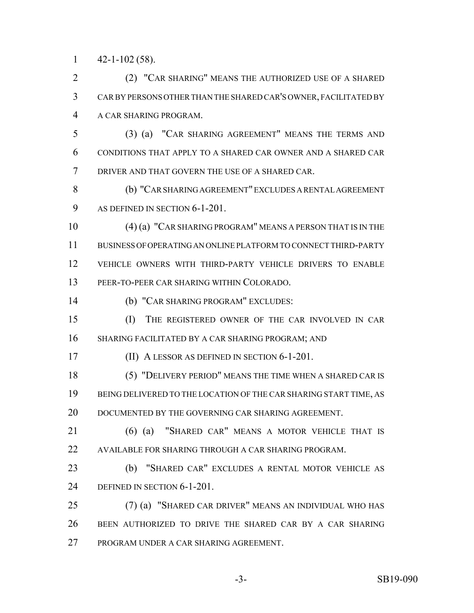$1 \qquad 42 - 1 - 102 \; (58)$ .

 (2) "CAR SHARING" MEANS THE AUTHORIZED USE OF A SHARED CAR BY PERSONS OTHER THAN THE SHARED CAR'S OWNER, FACILITATED BY A CAR SHARING PROGRAM.

 (3) (a) "CAR SHARING AGREEMENT" MEANS THE TERMS AND CONDITIONS THAT APPLY TO A SHARED CAR OWNER AND A SHARED CAR DRIVER AND THAT GOVERN THE USE OF A SHARED CAR.

 (b) "CAR SHARING AGREEMENT" EXCLUDES A RENTAL AGREEMENT 9 AS DEFINED IN SECTION 6-1-201.

 (4) (a) "CAR SHARING PROGRAM" MEANS A PERSON THAT IS IN THE BUSINESS OF OPERATING AN ONLINE PLATFORM TO CONNECT THIRD-PARTY VEHICLE OWNERS WITH THIRD-PARTY VEHICLE DRIVERS TO ENABLE PEER-TO-PEER CAR SHARING WITHIN COLORADO.

(b) "CAR SHARING PROGRAM" EXCLUDES:

 (I) THE REGISTERED OWNER OF THE CAR INVOLVED IN CAR SHARING FACILITATED BY A CAR SHARING PROGRAM; AND

(II) A LESSOR AS DEFINED IN SECTION 6-1-201.

 (5) "DELIVERY PERIOD" MEANS THE TIME WHEN A SHARED CAR IS BEING DELIVERED TO THE LOCATION OF THE CAR SHARING START TIME, AS 20 DOCUMENTED BY THE GOVERNING CAR SHARING AGREEMENT.

 (6) (a) "SHARED CAR" MEANS A MOTOR VEHICLE THAT IS AVAILABLE FOR SHARING THROUGH A CAR SHARING PROGRAM.

 (b) "SHARED CAR" EXCLUDES A RENTAL MOTOR VEHICLE AS DEFINED IN SECTION 6-1-201.

 (7) (a) "SHARED CAR DRIVER" MEANS AN INDIVIDUAL WHO HAS BEEN AUTHORIZED TO DRIVE THE SHARED CAR BY A CAR SHARING PROGRAM UNDER A CAR SHARING AGREEMENT.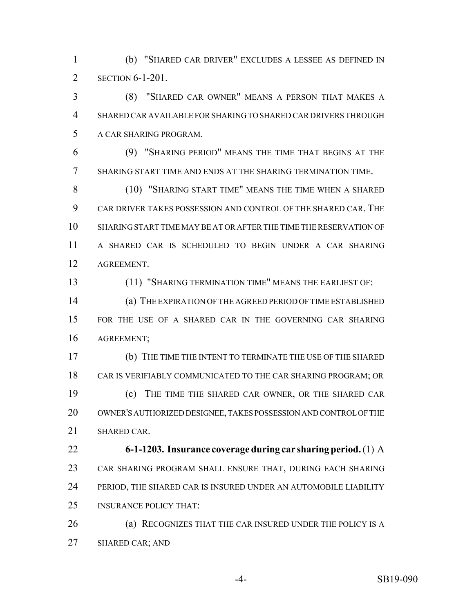(b) "SHARED CAR DRIVER" EXCLUDES A LESSEE AS DEFINED IN SECTION 6-1-201.

 (8) "SHARED CAR OWNER" MEANS A PERSON THAT MAKES A SHARED CAR AVAILABLE FOR SHARING TO SHARED CAR DRIVERS THROUGH A CAR SHARING PROGRAM.

 (9) "SHARING PERIOD" MEANS THE TIME THAT BEGINS AT THE SHARING START TIME AND ENDS AT THE SHARING TERMINATION TIME.

 (10) "SHARING START TIME" MEANS THE TIME WHEN A SHARED CAR DRIVER TAKES POSSESSION AND CONTROL OF THE SHARED CAR. THE SHARING START TIME MAY BE AT OR AFTER THE TIME THE RESERVATION OF A SHARED CAR IS SCHEDULED TO BEGIN UNDER A CAR SHARING AGREEMENT.

(11) "SHARING TERMINATION TIME" MEANS THE EARLIEST OF:

 (a) THE EXPIRATION OF THE AGREED PERIOD OF TIME ESTABLISHED FOR THE USE OF A SHARED CAR IN THE GOVERNING CAR SHARING AGREEMENT;

 (b) THE TIME THE INTENT TO TERMINATE THE USE OF THE SHARED CAR IS VERIFIABLY COMMUNICATED TO THE CAR SHARING PROGRAM; OR (c) THE TIME THE SHARED CAR OWNER, OR THE SHARED CAR OWNER'S AUTHORIZED DESIGNEE, TAKES POSSESSION AND CONTROL OF THE SHARED CAR.

 **6-1-1203. Insurance coverage during car sharing period.** (1) A CAR SHARING PROGRAM SHALL ENSURE THAT, DURING EACH SHARING PERIOD, THE SHARED CAR IS INSURED UNDER AN AUTOMOBILE LIABILITY INSURANCE POLICY THAT:

 (a) RECOGNIZES THAT THE CAR INSURED UNDER THE POLICY IS A SHARED CAR; AND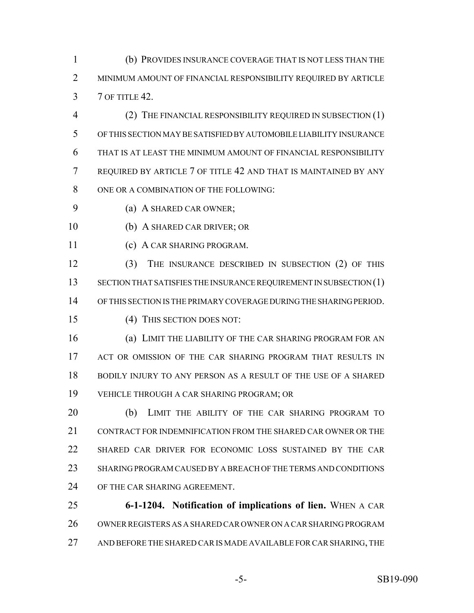(b) PROVIDES INSURANCE COVERAGE THAT IS NOT LESS THAN THE MINIMUM AMOUNT OF FINANCIAL RESPONSIBILITY REQUIRED BY ARTICLE 7 OF TITLE 42.

 (2) THE FINANCIAL RESPONSIBILITY REQUIRED IN SUBSECTION (1) OF THIS SECTION MAY BE SATISFIED BY AUTOMOBILE LIABILITY INSURANCE THAT IS AT LEAST THE MINIMUM AMOUNT OF FINANCIAL RESPONSIBILITY REQUIRED BY ARTICLE 7 OF TITLE 42 AND THAT IS MAINTAINED BY ANY 8 ONE OR A COMBINATION OF THE FOLLOWING:

- (a) A SHARED CAR OWNER;
- (b) A SHARED CAR DRIVER; OR
- (c) A CAR SHARING PROGRAM.

 (3) THE INSURANCE DESCRIBED IN SUBSECTION (2) OF THIS 13 SECTION THAT SATISFIES THE INSURANCE REQUIREMENT IN SUBSECTION (1) OF THIS SECTION IS THE PRIMARY COVERAGE DURING THE SHARING PERIOD.

(4) THIS SECTION DOES NOT:

 (a) LIMIT THE LIABILITY OF THE CAR SHARING PROGRAM FOR AN 17 ACT OR OMISSION OF THE CAR SHARING PROGRAM THAT RESULTS IN BODILY INJURY TO ANY PERSON AS A RESULT OF THE USE OF A SHARED VEHICLE THROUGH A CAR SHARING PROGRAM; OR

 (b) LIMIT THE ABILITY OF THE CAR SHARING PROGRAM TO CONTRACT FOR INDEMNIFICATION FROM THE SHARED CAR OWNER OR THE SHARED CAR DRIVER FOR ECONOMIC LOSS SUSTAINED BY THE CAR SHARING PROGRAM CAUSED BY A BREACH OF THE TERMS AND CONDITIONS OF THE CAR SHARING AGREEMENT.

 **6-1-1204. Notification of implications of lien.** WHEN A CAR OWNER REGISTERS AS A SHARED CAR OWNER ON A CAR SHARING PROGRAM 27 AND BEFORE THE SHARED CAR IS MADE AVAILABLE FOR CAR SHARING, THE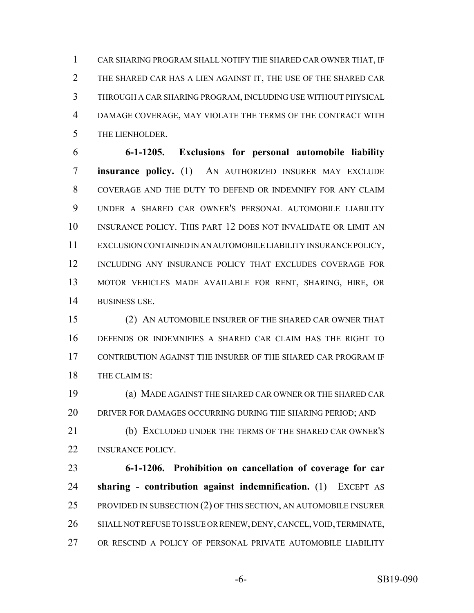CAR SHARING PROGRAM SHALL NOTIFY THE SHARED CAR OWNER THAT, IF THE SHARED CAR HAS A LIEN AGAINST IT, THE USE OF THE SHARED CAR THROUGH A CAR SHARING PROGRAM, INCLUDING USE WITHOUT PHYSICAL DAMAGE COVERAGE, MAY VIOLATE THE TERMS OF THE CONTRACT WITH THE LIENHOLDER.

 **6-1-1205. Exclusions for personal automobile liability insurance policy.** (1) AN AUTHORIZED INSURER MAY EXCLUDE COVERAGE AND THE DUTY TO DEFEND OR INDEMNIFY FOR ANY CLAIM UNDER A SHARED CAR OWNER'S PERSONAL AUTOMOBILE LIABILITY INSURANCE POLICY. THIS PART 12 DOES NOT INVALIDATE OR LIMIT AN EXCLUSION CONTAINED IN AN AUTOMOBILE LIABILITY INSURANCE POLICY, INCLUDING ANY INSURANCE POLICY THAT EXCLUDES COVERAGE FOR MOTOR VEHICLES MADE AVAILABLE FOR RENT, SHARING, HIRE, OR BUSINESS USE.

 (2) AN AUTOMOBILE INSURER OF THE SHARED CAR OWNER THAT DEFENDS OR INDEMNIFIES A SHARED CAR CLAIM HAS THE RIGHT TO CONTRIBUTION AGAINST THE INSURER OF THE SHARED CAR PROGRAM IF THE CLAIM IS:

 (a) MADE AGAINST THE SHARED CAR OWNER OR THE SHARED CAR 20 DRIVER FOR DAMAGES OCCURRING DURING THE SHARING PERIOD; AND

 (b) EXCLUDED UNDER THE TERMS OF THE SHARED CAR OWNER'S **INSURANCE POLICY.** 

 **6-1-1206. Prohibition on cancellation of coverage for car sharing - contribution against indemnification.** (1) EXCEPT AS 25 PROVIDED IN SUBSECTION (2) OF THIS SECTION, AN AUTOMOBILE INSURER SHALL NOT REFUSE TO ISSUE OR RENEW, DENY, CANCEL, VOID, TERMINATE, OR RESCIND A POLICY OF PERSONAL PRIVATE AUTOMOBILE LIABILITY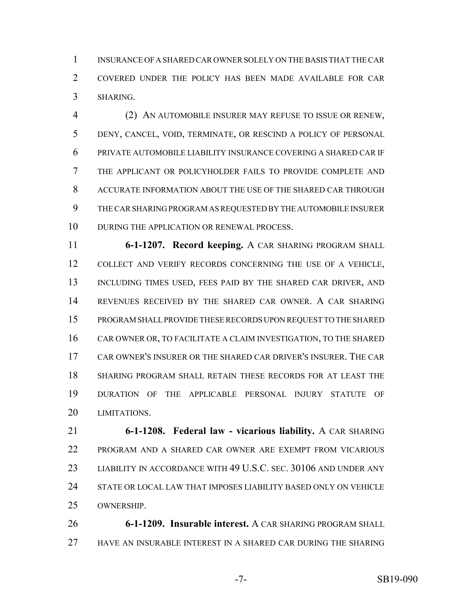INSURANCE OF A SHARED CAR OWNER SOLELY ON THE BASIS THAT THE CAR COVERED UNDER THE POLICY HAS BEEN MADE AVAILABLE FOR CAR SHARING.

 (2) AN AUTOMOBILE INSURER MAY REFUSE TO ISSUE OR RENEW, DENY, CANCEL, VOID, TERMINATE, OR RESCIND A POLICY OF PERSONAL PRIVATE AUTOMOBILE LIABILITY INSURANCE COVERING A SHARED CAR IF THE APPLICANT OR POLICYHOLDER FAILS TO PROVIDE COMPLETE AND ACCURATE INFORMATION ABOUT THE USE OF THE SHARED CAR THROUGH THE CAR SHARING PROGRAM AS REQUESTED BY THE AUTOMOBILE INSURER 10 DURING THE APPLICATION OR RENEWAL PROCESS.

 **6-1-1207. Record keeping.** A CAR SHARING PROGRAM SHALL COLLECT AND VERIFY RECORDS CONCERNING THE USE OF A VEHICLE, 13 INCLUDING TIMES USED, FEES PAID BY THE SHARED CAR DRIVER, AND REVENUES RECEIVED BY THE SHARED CAR OWNER. A CAR SHARING PROGRAM SHALL PROVIDE THESE RECORDS UPON REQUEST TO THE SHARED CAR OWNER OR, TO FACILITATE A CLAIM INVESTIGATION, TO THE SHARED CAR OWNER'S INSURER OR THE SHARED CAR DRIVER'S INSURER. THE CAR SHARING PROGRAM SHALL RETAIN THESE RECORDS FOR AT LEAST THE DURATION OF THE APPLICABLE PERSONAL INJURY STATUTE OF LIMITATIONS.

 **6-1-1208. Federal law - vicarious liability.** A CAR SHARING PROGRAM AND A SHARED CAR OWNER ARE EXEMPT FROM VICARIOUS LIABILITY IN ACCORDANCE WITH 49 U.S.C. SEC. 30106 AND UNDER ANY STATE OR LOCAL LAW THAT IMPOSES LIABILITY BASED ONLY ON VEHICLE OWNERSHIP.

 **6-1-1209. Insurable interest.** A CAR SHARING PROGRAM SHALL HAVE AN INSURABLE INTEREST IN A SHARED CAR DURING THE SHARING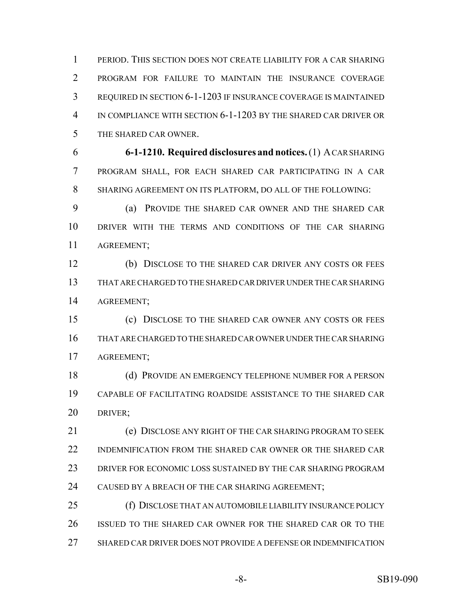PERIOD. THIS SECTION DOES NOT CREATE LIABILITY FOR A CAR SHARING PROGRAM FOR FAILURE TO MAINTAIN THE INSURANCE COVERAGE REQUIRED IN SECTION 6-1-1203 IF INSURANCE COVERAGE IS MAINTAINED IN COMPLIANCE WITH SECTION 6-1-1203 BY THE SHARED CAR DRIVER OR THE SHARED CAR OWNER.

 **6-1-1210. Required disclosures and notices.** (1) A CAR SHARING PROGRAM SHALL, FOR EACH SHARED CAR PARTICIPATING IN A CAR SHARING AGREEMENT ON ITS PLATFORM, DO ALL OF THE FOLLOWING:

 (a) PROVIDE THE SHARED CAR OWNER AND THE SHARED CAR DRIVER WITH THE TERMS AND CONDITIONS OF THE CAR SHARING AGREEMENT;

 (b) DISCLOSE TO THE SHARED CAR DRIVER ANY COSTS OR FEES THAT ARE CHARGED TO THE SHARED CAR DRIVER UNDER THE CAR SHARING AGREEMENT;

 (c) DISCLOSE TO THE SHARED CAR OWNER ANY COSTS OR FEES THAT ARE CHARGED TO THE SHARED CAR OWNER UNDER THE CAR SHARING AGREEMENT;

 (d) PROVIDE AN EMERGENCY TELEPHONE NUMBER FOR A PERSON CAPABLE OF FACILITATING ROADSIDE ASSISTANCE TO THE SHARED CAR DRIVER;

 (e) DISCLOSE ANY RIGHT OF THE CAR SHARING PROGRAM TO SEEK INDEMNIFICATION FROM THE SHARED CAR OWNER OR THE SHARED CAR DRIVER FOR ECONOMIC LOSS SUSTAINED BY THE CAR SHARING PROGRAM CAUSED BY A BREACH OF THE CAR SHARING AGREEMENT;

 (f) DISCLOSE THAT AN AUTOMOBILE LIABILITY INSURANCE POLICY ISSUED TO THE SHARED CAR OWNER FOR THE SHARED CAR OR TO THE SHARED CAR DRIVER DOES NOT PROVIDE A DEFENSE OR INDEMNIFICATION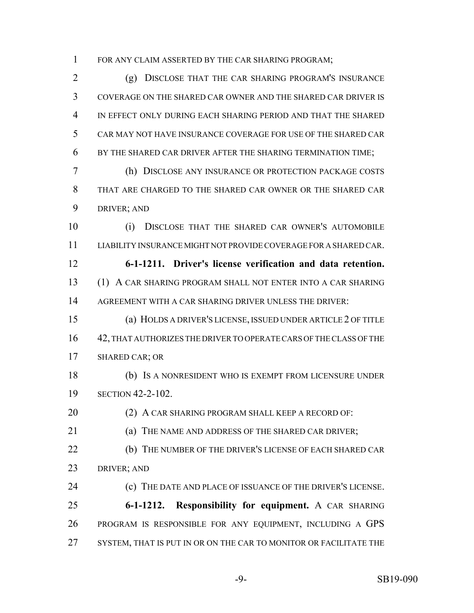1 FOR ANY CLAIM ASSERTED BY THE CAR SHARING PROGRAM;

 (g) DISCLOSE THAT THE CAR SHARING PROGRAM'S INSURANCE COVERAGE ON THE SHARED CAR OWNER AND THE SHARED CAR DRIVER IS IN EFFECT ONLY DURING EACH SHARING PERIOD AND THAT THE SHARED CAR MAY NOT HAVE INSURANCE COVERAGE FOR USE OF THE SHARED CAR BY THE SHARED CAR DRIVER AFTER THE SHARING TERMINATION TIME;

 (h) DISCLOSE ANY INSURANCE OR PROTECTION PACKAGE COSTS THAT ARE CHARGED TO THE SHARED CAR OWNER OR THE SHARED CAR DRIVER; AND

 (i) DISCLOSE THAT THE SHARED CAR OWNER'S AUTOMOBILE LIABILITY INSURANCE MIGHT NOT PROVIDE COVERAGE FOR A SHARED CAR. **6-1-1211. Driver's license verification and data retention.** (1) A CAR SHARING PROGRAM SHALL NOT ENTER INTO A CAR SHARING

AGREEMENT WITH A CAR SHARING DRIVER UNLESS THE DRIVER:

 (a) HOLDS A DRIVER'S LICENSE, ISSUED UNDER ARTICLE 2 OF TITLE 42, THAT AUTHORIZES THE DRIVER TO OPERATE CARS OF THE CLASS OF THE SHARED CAR; OR

 (b) IS A NONRESIDENT WHO IS EXEMPT FROM LICENSURE UNDER SECTION 42-2-102.

20 (2) A CAR SHARING PROGRAM SHALL KEEP A RECORD OF:

(a) THE NAME AND ADDRESS OF THE SHARED CAR DRIVER;

 (b) THE NUMBER OF THE DRIVER'S LICENSE OF EACH SHARED CAR DRIVER; AND

 (c) THE DATE AND PLACE OF ISSUANCE OF THE DRIVER'S LICENSE. **6-1-1212. Responsibility for equipment.** A CAR SHARING PROGRAM IS RESPONSIBLE FOR ANY EQUIPMENT, INCLUDING A GPS 27 SYSTEM, THAT IS PUT IN OR ON THE CAR TO MONITOR OR FACILITATE THE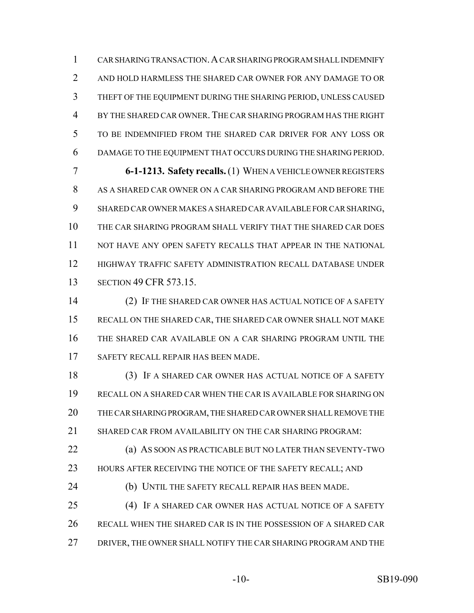CAR SHARING TRANSACTION.A CAR SHARING PROGRAM SHALL INDEMNIFY AND HOLD HARMLESS THE SHARED CAR OWNER FOR ANY DAMAGE TO OR THEFT OF THE EQUIPMENT DURING THE SHARING PERIOD, UNLESS CAUSED BY THE SHARED CAR OWNER.THE CAR SHARING PROGRAM HAS THE RIGHT TO BE INDEMNIFIED FROM THE SHARED CAR DRIVER FOR ANY LOSS OR DAMAGE TO THE EQUIPMENT THAT OCCURS DURING THE SHARING PERIOD.

 **6-1-1213. Safety recalls.** (1) WHEN A VEHICLE OWNER REGISTERS AS A SHARED CAR OWNER ON A CAR SHARING PROGRAM AND BEFORE THE SHARED CAR OWNER MAKES A SHARED CAR AVAILABLE FOR CAR SHARING, THE CAR SHARING PROGRAM SHALL VERIFY THAT THE SHARED CAR DOES 11 NOT HAVE ANY OPEN SAFETY RECALLS THAT APPEAR IN THE NATIONAL HIGHWAY TRAFFIC SAFETY ADMINISTRATION RECALL DATABASE UNDER SECTION 49 CFR 573.15.

 (2) IF THE SHARED CAR OWNER HAS ACTUAL NOTICE OF A SAFETY RECALL ON THE SHARED CAR, THE SHARED CAR OWNER SHALL NOT MAKE THE SHARED CAR AVAILABLE ON A CAR SHARING PROGRAM UNTIL THE SAFETY RECALL REPAIR HAS BEEN MADE.

 (3) IF A SHARED CAR OWNER HAS ACTUAL NOTICE OF A SAFETY RECALL ON A SHARED CAR WHEN THE CAR IS AVAILABLE FOR SHARING ON THE CAR SHARING PROGRAM, THE SHARED CAR OWNER SHALL REMOVE THE SHARED CAR FROM AVAILABILITY ON THE CAR SHARING PROGRAM:

 (a) AS SOON AS PRACTICABLE BUT NO LATER THAN SEVENTY-TWO 23 HOURS AFTER RECEIVING THE NOTICE OF THE SAFETY RECALL; AND

(b) UNTIL THE SAFETY RECALL REPAIR HAS BEEN MADE.

 (4) IF A SHARED CAR OWNER HAS ACTUAL NOTICE OF A SAFETY RECALL WHEN THE SHARED CAR IS IN THE POSSESSION OF A SHARED CAR DRIVER, THE OWNER SHALL NOTIFY THE CAR SHARING PROGRAM AND THE